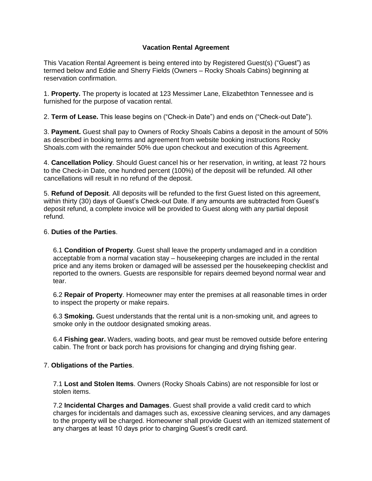## **Vacation Rental Agreement**

This Vacation Rental Agreement is being entered into by Registered Guest(s) ("Guest") as termed below and Eddie and Sherry Fields (Owners – Rocky Shoals Cabins) beginning at reservation confirmation.

1. **Property.** The property is located at 123 Messimer Lane, Elizabethton Tennessee and is furnished for the purpose of vacation rental.

2. **Term of Lease.** This lease begins on ("Check-in Date") and ends on ("Check-out Date").

3. **Payment.** Guest shall pay to Owners of Rocky Shoals Cabins a deposit in the amount of 50% as described in booking terms and agreement from website booking instructions Rocky Shoals.com with the remainder 50% due upon checkout and execution of this Agreement.

4. **Cancellation Policy**. Should Guest cancel his or her reservation, in writing, at least 72 hours to the Check-in Date, one hundred percent (100%) of the deposit will be refunded. All other cancellations will result in no refund of the deposit.

5. **Refund of Deposit**. All deposits will be refunded to the first Guest listed on this agreement, within thirty (30) days of Guest's Check-out Date. If any amounts are subtracted from Guest's deposit refund, a complete invoice will be provided to Guest along with any partial deposit refund.

## 6. **Duties of the Parties**.

6.1 **Condition of Property**. Guest shall leave the property undamaged and in a condition acceptable from a normal vacation stay – housekeeping charges are included in the rental price and any items broken or damaged will be assessed per the housekeeping checklist and reported to the owners. Guests are responsible for repairs deemed beyond normal wear and tear.

6.2 **Repair of Property**. Homeowner may enter the premises at all reasonable times in order to inspect the property or make repairs.

6.3 **Smoking.** Guest understands that the rental unit is a non-smoking unit, and agrees to smoke only in the outdoor designated smoking areas.

6.4 **Fishing gear.** Waders, wading boots, and gear must be removed outside before entering cabin. The front or back porch has provisions for changing and drying fishing gear.

## 7. **Obligations of the Parties**.

7.1 **Lost and Stolen Items**. Owners (Rocky Shoals Cabins) are not responsible for lost or stolen items.

7.2 **Incidental Charges and Damages**. Guest shall provide a valid credit card to which charges for incidentals and damages such as, excessive cleaning services, and any damages to the property will be charged. Homeowner shall provide Guest with an itemized statement of any charges at least 10 days prior to charging Guest's credit card.